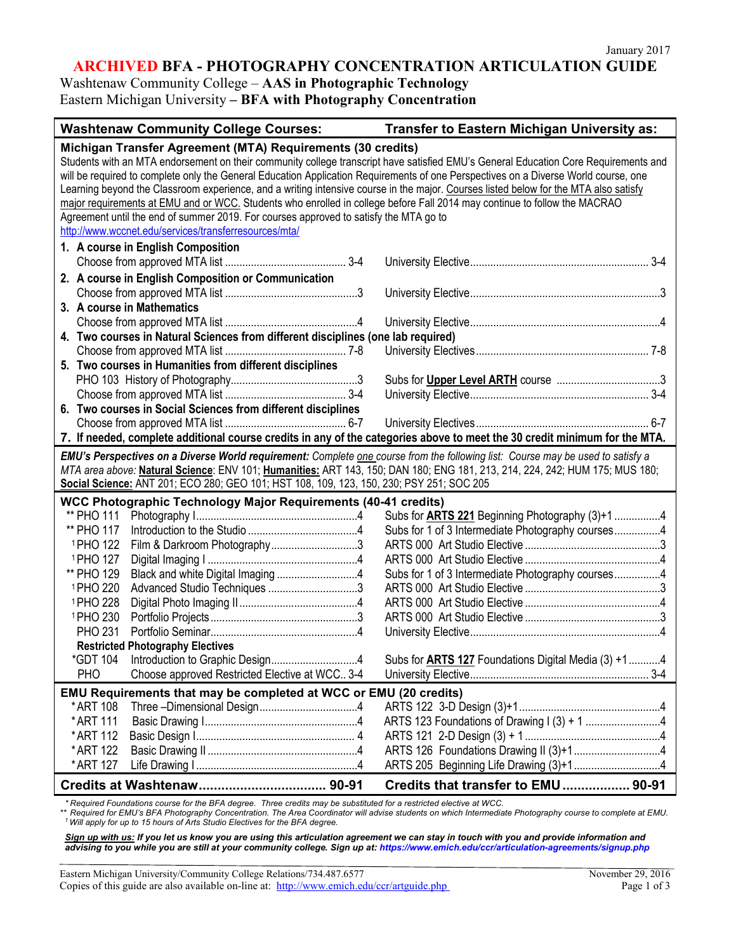## **ARCHIVED BFA - PHOTOGRAPHY CONCENTRATION ARTICULATION GUIDE**

Washtenaw Community College – **AAS in Photographic Technology** Eastern Michigan University **– BFA with Photography Concentration**

| <b>Washtenaw Community College Courses:</b>                                                                                                                                                                                                                                                                                                                                                                                                                                                                                                                                                                                                                                                                                                                      | Transfer to Eastern Michigan University as:                 |
|------------------------------------------------------------------------------------------------------------------------------------------------------------------------------------------------------------------------------------------------------------------------------------------------------------------------------------------------------------------------------------------------------------------------------------------------------------------------------------------------------------------------------------------------------------------------------------------------------------------------------------------------------------------------------------------------------------------------------------------------------------------|-------------------------------------------------------------|
| Michigan Transfer Agreement (MTA) Requirements (30 credits)<br>Students with an MTA endorsement on their community college transcript have satisfied EMU's General Education Core Requirements and<br>will be required to complete only the General Education Application Requirements of one Perspectives on a Diverse World course, one<br>Learning beyond the Classroom experience, and a writing intensive course in the major. Courses listed below for the MTA also satisfy<br>major requirements at EMU and or WCC. Students who enrolled in college before Fall 2014 may continue to follow the MACRAO<br>Agreement until the end of summer 2019. For courses approved to satisfy the MTA go to<br>http://www.wccnet.edu/services/transferresources/mta/ |                                                             |
| 1. A course in English Composition                                                                                                                                                                                                                                                                                                                                                                                                                                                                                                                                                                                                                                                                                                                               |                                                             |
| 2. A course in English Composition or Communication<br>3. A course in Mathematics                                                                                                                                                                                                                                                                                                                                                                                                                                                                                                                                                                                                                                                                                |                                                             |
| 4. Two courses in Natural Sciences from different disciplines (one lab required)                                                                                                                                                                                                                                                                                                                                                                                                                                                                                                                                                                                                                                                                                 |                                                             |
| 5. Two courses in Humanities from different disciplines                                                                                                                                                                                                                                                                                                                                                                                                                                                                                                                                                                                                                                                                                                          |                                                             |
|                                                                                                                                                                                                                                                                                                                                                                                                                                                                                                                                                                                                                                                                                                                                                                  |                                                             |
| 6. Two courses in Social Sciences from different disciplines<br>7. If needed, complete additional course credits in any of the categories above to meet the 30 credit minimum for the MTA.                                                                                                                                                                                                                                                                                                                                                                                                                                                                                                                                                                       |                                                             |
| EMU's Perspectives on a Diverse World requirement: Complete one course from the following list: Course may be used to satisfy a<br>MTA area above: Natural Science: ENV 101; Humanities: ART 143, 150; DAN 180; ENG 181, 213, 214, 224, 242; HUM 175; MUS 180;<br>Social Science: ANT 201; ECO 280; GEO 101; HST 108, 109, 123, 150, 230; PSY 251; SOC 205                                                                                                                                                                                                                                                                                                                                                                                                       |                                                             |
| WCC Photographic Technology Major Requirements (40-41 credits)                                                                                                                                                                                                                                                                                                                                                                                                                                                                                                                                                                                                                                                                                                   |                                                             |
| ** PHO 111                                                                                                                                                                                                                                                                                                                                                                                                                                                                                                                                                                                                                                                                                                                                                       | Subs for <b>ARTS 221</b> Beginning Photography (3)+1 4      |
| ** PHO 117<br>Film & Darkroom Photography3<br><sup>1</sup> PHO 122                                                                                                                                                                                                                                                                                                                                                                                                                                                                                                                                                                                                                                                                                               | Subs for 1 of 3 Intermediate Photography courses4           |
| <sup>1</sup> PHO 127                                                                                                                                                                                                                                                                                                                                                                                                                                                                                                                                                                                                                                                                                                                                             |                                                             |
| ** PHO 129                                                                                                                                                                                                                                                                                                                                                                                                                                                                                                                                                                                                                                                                                                                                                       | Subs for 1 of 3 Intermediate Photography courses4           |
| <sup>1</sup> PHO 220<br>Advanced Studio Techniques 3                                                                                                                                                                                                                                                                                                                                                                                                                                                                                                                                                                                                                                                                                                             |                                                             |
| <sup>1</sup> PHO 228                                                                                                                                                                                                                                                                                                                                                                                                                                                                                                                                                                                                                                                                                                                                             |                                                             |
| <sup>1</sup> PHO 230                                                                                                                                                                                                                                                                                                                                                                                                                                                                                                                                                                                                                                                                                                                                             |                                                             |
| <b>PHO 231</b>                                                                                                                                                                                                                                                                                                                                                                                                                                                                                                                                                                                                                                                                                                                                                   |                                                             |
| <b>Restricted Photography Electives</b><br>*GDT 104                                                                                                                                                                                                                                                                                                                                                                                                                                                                                                                                                                                                                                                                                                              | Subs for <b>ARTS 127</b> Foundations Digital Media (3) +1 4 |
| Choose approved Restricted Elective at WCC 3-4<br><b>PHO</b>                                                                                                                                                                                                                                                                                                                                                                                                                                                                                                                                                                                                                                                                                                     |                                                             |
| EMU Requirements that may be completed at WCC or EMU (20 credits)                                                                                                                                                                                                                                                                                                                                                                                                                                                                                                                                                                                                                                                                                                |                                                             |
| * ART 108                                                                                                                                                                                                                                                                                                                                                                                                                                                                                                                                                                                                                                                                                                                                                        |                                                             |
| *ART 111                                                                                                                                                                                                                                                                                                                                                                                                                                                                                                                                                                                                                                                                                                                                                         | ARTS 123 Foundations of Drawing I (3) + 1 4                 |
| *ART 112                                                                                                                                                                                                                                                                                                                                                                                                                                                                                                                                                                                                                                                                                                                                                         |                                                             |
| * ART 122                                                                                                                                                                                                                                                                                                                                                                                                                                                                                                                                                                                                                                                                                                                                                        |                                                             |
| * ART 127                                                                                                                                                                                                                                                                                                                                                                                                                                                                                                                                                                                                                                                                                                                                                        | ARTS 205 Beginning Life Drawing (3)+14                      |
|                                                                                                                                                                                                                                                                                                                                                                                                                                                                                                                                                                                                                                                                                                                                                                  | Credits that transfer to EMU  90-91                         |

*\* Required Foundations course for the BFA degree. Three credits may be substituted for a restricted elective at WCC.*

*\*\* Required for EMU's BFA Photography Concentration. The Area Coordinator will advise students on which Intermediate Photography course to complete at EMU. 1 Will apply for up to 15 hours of Arts Studio Electives for the BFA degree.*

*Sign up with us: If you let us know you are using this articulation agreement we can stay in touch with you and provide information and advising to you while you are still at your community college. Sign up at: https://www.emich.edu/ccr/articulation-agreements/signup.php*

Eastern Michigan University/Community College Relations/734.487.6577 November 29, 2016 Copies of this guide are also available on-line at: <http://www.emich.edu/ccr/artguide.php> Page 1 of 3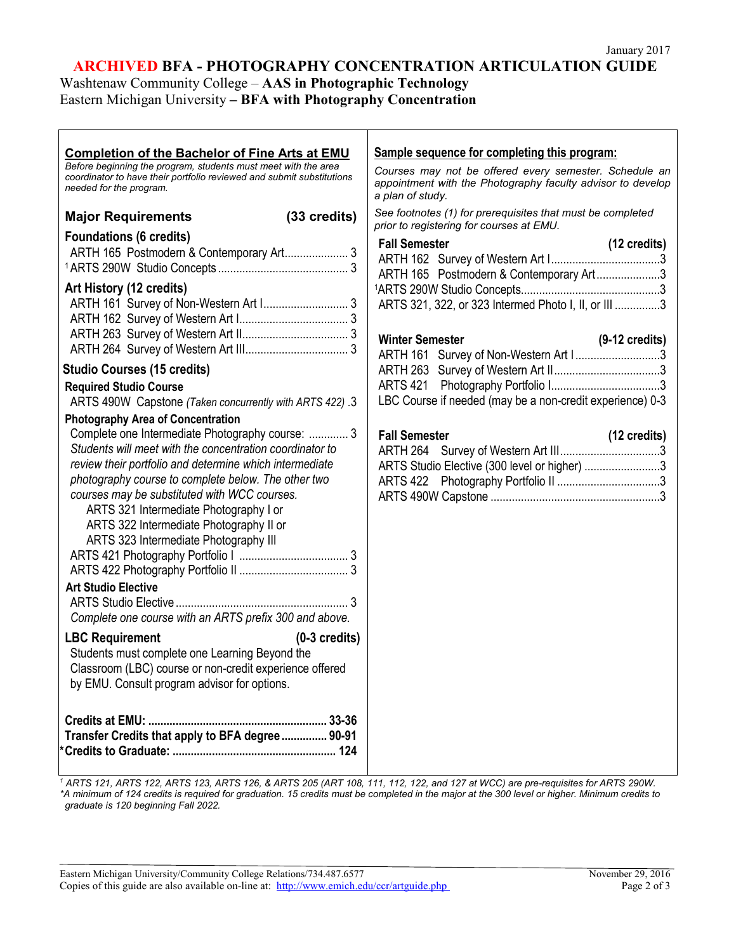## **ARCHIVED BFA - PHOTOGRAPHY CONCENTRATION ARTICULATION GUIDE**

Washtenaw Community College – **AAS in Photographic Technology** Eastern Michigan University **– BFA with Photography Concentration**

| <b>Completion of the Bachelor of Fine Arts at EMU</b><br>Before beginning the program, students must meet with the area<br>coordinator to have their portfolio reviewed and submit substitutions<br>needed for the program.                                                                                                                                                                                                                | Sample sequence for completing this program:<br>Courses may not be offered every semester. Schedule an<br>appointment with the Photography faculty advisor to develop<br>a plan of study. |
|--------------------------------------------------------------------------------------------------------------------------------------------------------------------------------------------------------------------------------------------------------------------------------------------------------------------------------------------------------------------------------------------------------------------------------------------|-------------------------------------------------------------------------------------------------------------------------------------------------------------------------------------------|
| (33 credits)<br><b>Major Requirements</b>                                                                                                                                                                                                                                                                                                                                                                                                  | See footnotes (1) for prerequisites that must be completed<br>prior to registering for courses at EMU.                                                                                    |
| <b>Foundations (6 credits)</b>                                                                                                                                                                                                                                                                                                                                                                                                             | <b>Fall Semester</b><br>$(12 \text{ credits})$<br>ARTH 165 Postmodern & Contemporary Art3                                                                                                 |
| Art History (12 credits)<br>ARTH 161 Survey of Non-Western Art I 3                                                                                                                                                                                                                                                                                                                                                                         | ARTS 321, 322, or 323 Intermed Photo I, II, or III 3<br><b>Winter Semester</b>                                                                                                            |
|                                                                                                                                                                                                                                                                                                                                                                                                                                            | $(9-12 \text{ credits})$<br>ARTH 161 Survey of Non-Western Art I 3                                                                                                                        |
| <b>Studio Courses (15 credits)</b><br><b>Required Studio Course</b><br>ARTS 490W Capstone (Taken concurrently with ARTS 422) .3                                                                                                                                                                                                                                                                                                            | LBC Course if needed (may be a non-credit experience) 0-3                                                                                                                                 |
| <b>Photography Area of Concentration</b>                                                                                                                                                                                                                                                                                                                                                                                                   |                                                                                                                                                                                           |
| Complete one Intermediate Photography course:  3<br>Students will meet with the concentration coordinator to<br>review their portfolio and determine which intermediate<br>photography course to complete below. The other two<br>courses may be substituted with WCC courses.<br>ARTS 321 Intermediate Photography I or<br>ARTS 322 Intermediate Photography II or<br>ARTS 323 Intermediate Photography III<br><b>Art Studio Elective</b> | <b>Fall Semester</b><br>$(12 \text{ credits})$<br>ARTS Studio Elective (300 level or higher) 3                                                                                            |
| Complete one course with an ARTS prefix 300 and above.                                                                                                                                                                                                                                                                                                                                                                                     |                                                                                                                                                                                           |
| $(0-3 \text{ credits})$<br><b>LBC Requirement</b><br>Students must complete one Learning Beyond the<br>Classroom (LBC) course or non-credit experience offered<br>by EMU. Consult program advisor for options.                                                                                                                                                                                                                             |                                                                                                                                                                                           |
| Transfer Credits that apply to BFA degree  90-91                                                                                                                                                                                                                                                                                                                                                                                           |                                                                                                                                                                                           |

*<sup>1</sup> ARTS 121, ARTS 122, ARTS 123, ARTS 126, & ARTS 205 (ART 108, 111, 112, 122, and 127 at WCC) are pre-requisites for ARTS 290W. \*A minimum of 124 credits is required for graduation. 15 credits must be completed in the major at the 300 level or higher. Minimum credits to graduate is 120 beginning Fall 2022.*